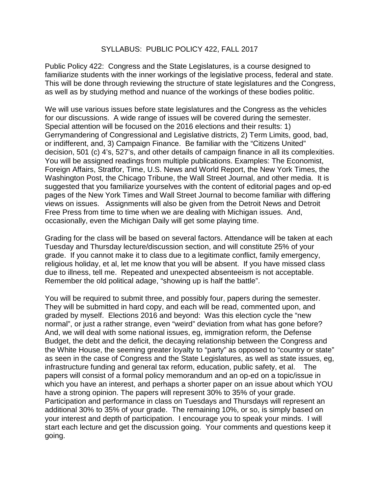## SYLLABUS: PUBLIC POLICY 422, FALL 2017

Public Policy 422: Congress and the State Legislatures, is a course designed to familiarize students with the inner workings of the legislative process, federal and state. This will be done through reviewing the structure of state legislatures and the Congress, as well as by studying method and nuance of the workings of these bodies politic.

We will use various issues before state legislatures and the Congress as the vehicles for our discussions. A wide range of issues will be covered during the semester. Special attention will be focused on the 2016 elections and their results: 1) Gerrymandering of Congressional and Legislative districts, 2) Term Limits, good, bad, or indifferent, and, 3) Campaign Finance. Be familiar with the "Citizens United" decision, 501 (c) 4's, 527's, and other details of campaign finance in all its complexities. You will be assigned readings from multiple publications. Examples: The Economist, Foreign Affairs, Stratfor, Time, U.S. News and World Report, the New York Times, the Washington Post, the Chicago Tribune, the Wall Street Journal, and other media. It is suggested that you familiarize yourselves with the content of editorial pages and op-ed pages of the New York Times and Wall Street Journal to become familiar with differing views on issues. Assignments will also be given from the Detroit News and Detroit Free Press from time to time when we are dealing with Michigan issues. And, occasionally, even the Michigan Daily will get some playing time.

Grading for the class will be based on several factors. Attendance will be taken at each Tuesday and Thursday lecture/discussion section, and will constitute 25% of your grade. If you cannot make it to class due to a legitimate conflict, family emergency, religious holiday, et al, let me know that you will be absent. If you have missed class due to illness, tell me. Repeated and unexpected absenteeism is not acceptable. Remember the old political adage, "showing up is half the battle".

You will be required to submit three, and possibly four, papers during the semester. They will be submitted in hard copy, and each will be read, commented upon, and graded by myself. Elections 2016 and beyond: Was this election cycle the "new normal", or just a rather strange, even "weird" deviation from what has gone before? And, we will deal with some national issues, eg, immigration reform, the Defense Budget, the debt and the deficit, the decaying relationship between the Congress and the White House, the seeming greater loyalty to "party" as opposed to "country or state" as seen in the case of Congress and the State Legislatures, as well as state issues, eg, infrastructure funding and general tax reform, education, public safety, et al. The papers will consist of a formal policy memorandum and an op-ed on a topic/issue in which you have an interest, and perhaps a shorter paper on an issue about which YOU have a strong opinion. The papers will represent 30% to 35% of your grade. Participation and performance in class on Tuesdays and Thursdays will represent an additional 30% to 35% of your grade. The remaining 10%, or so, is simply based on your interest and depth of participation. I encourage you to speak your minds. I will start each lecture and get the discussion going. Your comments and questions keep it going.